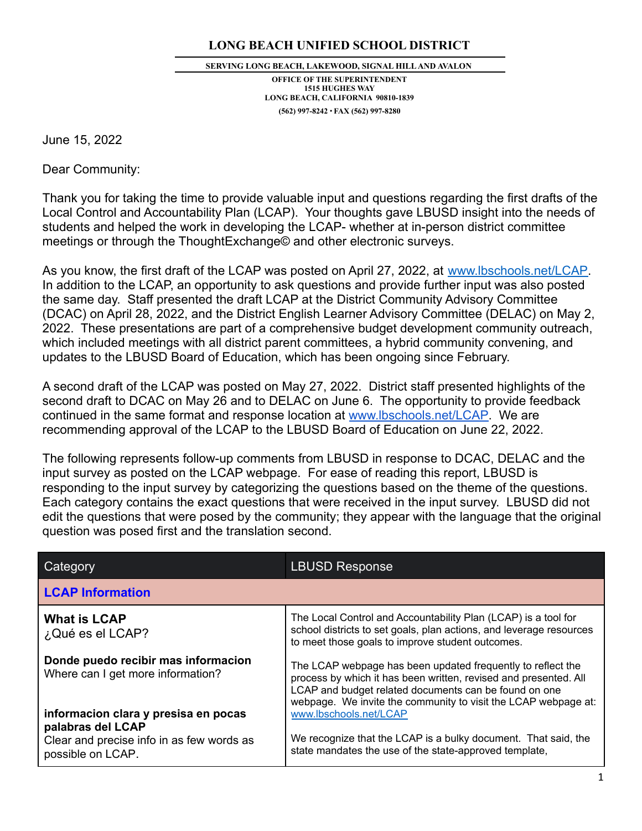## **LONG BEACH UNIFIED SCHOOL DISTRICT**

#### **SERVING LONG BEACH, LAKEWOOD, SIGNAL HILLAND AVALON**

**OFFICE OF THE SUPERINTENDENT 1515 HUGHES WAY LONG BEACH, CALIFORNIA 90810-1839 (562) 997-8242** ∙ **FAX (562) 997-8280**

June 15, 2022

Dear Community:

Thank you for taking the time to provide valuable input and questions regarding the first drafts of the Local Control and Accountability Plan (LCAP). Your thoughts gave LBUSD insight into the needs of students and helped the work in developing the LCAP- whether at in-person district committee meetings or through the ThoughtExchange© and other electronic surveys.

As you know, the first draft of the LCAP was posted on April 27, 2022, at [www.lbschools.net/LCAP.](http://www.lbschools.net/LCAP) In addition to the LCAP, an opportunity to ask questions and provide further input was also posted the same day. Staff presented the draft LCAP at the District Community Advisory Committee (DCAC) on April 28, 2022, and the District English Learner Advisory Committee (DELAC) on May 2, 2022. These presentations are part of a comprehensive budget development community outreach, which included meetings with all district parent committees, a hybrid community convening, and updates to the LBUSD Board of Education, which has been ongoing since February.

A second draft of the LCAP was posted on May 27, 2022. District staff presented highlights of the second draft to DCAC on May 26 and to DELAC on June 6. The opportunity to provide feedback continued in the same format and response location at [www.lbschools.net/LCAP](http://www.lbschools.net/LCAP). We are recommending approval of the LCAP to the LBUSD Board of Education on June 22, 2022.

The following represents follow-up comments from LBUSD in response to DCAC, DELAC and the input survey as posted on the LCAP webpage. For ease of reading this report, LBUSD is responding to the input survey by categorizing the questions based on the theme of the questions. Each category contains the exact questions that were received in the input survey. LBUSD did not edit the questions that were posed by the community; they appear with the language that the original question was posed first and the translation second.

| Category                                                                 | <b>LBUSD Response</b>                                                                                                                                                                                                                                      |
|--------------------------------------------------------------------------|------------------------------------------------------------------------------------------------------------------------------------------------------------------------------------------------------------------------------------------------------------|
| <b>LCAP Information</b>                                                  |                                                                                                                                                                                                                                                            |
| <b>What is LCAP</b><br>¿Qué es el LCAP?                                  | The Local Control and Accountability Plan (LCAP) is a tool for<br>school districts to set goals, plan actions, and leverage resources<br>to meet those goals to improve student outcomes.                                                                  |
| Donde puedo recibir mas informacion<br>Where can I get more information? | The LCAP webpage has been updated frequently to reflect the<br>process by which it has been written, revised and presented. All<br>LCAP and budget related documents can be found on one<br>webpage. We invite the community to visit the LCAP webpage at: |
| informacion clara y presisa en pocas<br>palabras del LCAP                | www.lbschools.net/LCAP                                                                                                                                                                                                                                     |
| Clear and precise info in as few words as<br>possible on LCAP.           | We recognize that the LCAP is a bulky document. That said, the<br>state mandates the use of the state-approved template,                                                                                                                                   |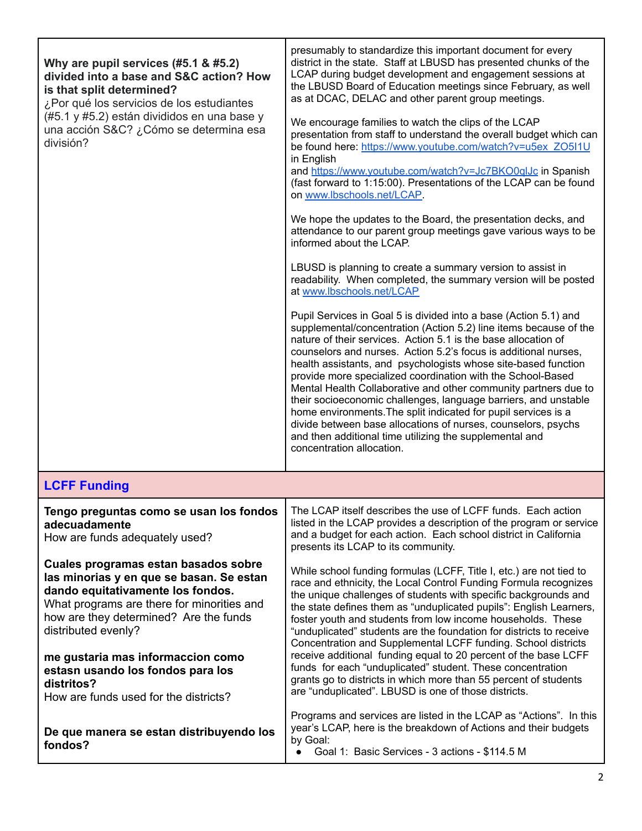| Why are pupil services (#5.1 & #5.2)<br>divided into a base and S&C action? How<br>is that split determined?<br>¿Por qué los servicios de los estudiantes<br>(#5.1 y #5.2) están divididos en una base y<br>una acción S&C? ¿Cómo se determina esa<br>división?                                                                                                       | presumably to standardize this important document for every<br>district in the state. Staff at LBUSD has presented chunks of the<br>LCAP during budget development and engagement sessions at<br>the LBUSD Board of Education meetings since February, as well<br>as at DCAC, DELAC and other parent group meetings.<br>We encourage families to watch the clips of the LCAP<br>presentation from staff to understand the overall budget which can<br>be found here: https://www.youtube.com/watch?v=u5ex_ZO5I1U<br>in English<br>and https://www.youtube.com/watch?v=Jc7BKO0qlJc in Spanish<br>(fast forward to 1:15:00). Presentations of the LCAP can be found<br>on www.lbschools.net/LCAP.<br>We hope the updates to the Board, the presentation decks, and<br>attendance to our parent group meetings gave various ways to be<br>informed about the LCAP.<br>LBUSD is planning to create a summary version to assist in<br>readability. When completed, the summary version will be posted<br>at www.lbschools.net/LCAP<br>Pupil Services in Goal 5 is divided into a base (Action 5.1) and<br>supplemental/concentration (Action 5.2) line items because of the<br>nature of their services. Action 5.1 is the base allocation of<br>counselors and nurses. Action 5.2's focus is additional nurses,<br>health assistants, and psychologists whose site-based function<br>provide more specialized coordination with the School-Based<br>Mental Health Collaborative and other community partners due to<br>their socioeconomic challenges, language barriers, and unstable<br>home environments. The split indicated for pupil services is a<br>divide between base allocations of nurses, counselors, psychs<br>and then additional time utilizing the supplemental and<br>concentration allocation. |
|-----------------------------------------------------------------------------------------------------------------------------------------------------------------------------------------------------------------------------------------------------------------------------------------------------------------------------------------------------------------------|---------------------------------------------------------------------------------------------------------------------------------------------------------------------------------------------------------------------------------------------------------------------------------------------------------------------------------------------------------------------------------------------------------------------------------------------------------------------------------------------------------------------------------------------------------------------------------------------------------------------------------------------------------------------------------------------------------------------------------------------------------------------------------------------------------------------------------------------------------------------------------------------------------------------------------------------------------------------------------------------------------------------------------------------------------------------------------------------------------------------------------------------------------------------------------------------------------------------------------------------------------------------------------------------------------------------------------------------------------------------------------------------------------------------------------------------------------------------------------------------------------------------------------------------------------------------------------------------------------------------------------------------------------------------------------------------------------------------------------------------------------------------------------------------------------------|
| <b>LCFF Funding</b>                                                                                                                                                                                                                                                                                                                                                   |                                                                                                                                                                                                                                                                                                                                                                                                                                                                                                                                                                                                                                                                                                                                                                                                                                                                                                                                                                                                                                                                                                                                                                                                                                                                                                                                                                                                                                                                                                                                                                                                                                                                                                                                                                                                               |
| Tengo preguntas como se usan los fondos<br>adecuadamente<br>How are funds adequately used?                                                                                                                                                                                                                                                                            | The LCAP itself describes the use of LCFF funds. Each action<br>listed in the LCAP provides a description of the program or service<br>and a budget for each action. Each school district in California<br>presents its LCAP to its community.                                                                                                                                                                                                                                                                                                                                                                                                                                                                                                                                                                                                                                                                                                                                                                                                                                                                                                                                                                                                                                                                                                                                                                                                                                                                                                                                                                                                                                                                                                                                                                |
| Cuales programas estan basados sobre<br>las minorias y en que se basan. Se estan<br>dando equitativamente los fondos.<br>What programs are there for minorities and<br>how are they determined? Are the funds<br>distributed evenly?<br>me gustaria mas informaccion como<br>estasn usando los fondos para los<br>distritos?<br>How are funds used for the districts? | While school funding formulas (LCFF, Title I, etc.) are not tied to<br>race and ethnicity, the Local Control Funding Formula recognizes<br>the unique challenges of students with specific backgrounds and<br>the state defines them as "unduplicated pupils": English Learners,<br>foster youth and students from low income households. These<br>"unduplicated" students are the foundation for districts to receive<br>Concentration and Supplemental LCFF funding. School districts<br>receive additional funding equal to 20 percent of the base LCFF<br>funds for each "unduplicated" student. These concentration<br>grants go to districts in which more than 55 percent of students<br>are "unduplicated". LBUSD is one of those districts.                                                                                                                                                                                                                                                                                                                                                                                                                                                                                                                                                                                                                                                                                                                                                                                                                                                                                                                                                                                                                                                          |
| De que manera se estan distribuyendo los<br>fondos?                                                                                                                                                                                                                                                                                                                   | Programs and services are listed in the LCAP as "Actions". In this<br>year's LCAP, here is the breakdown of Actions and their budgets<br>by Goal:<br>Goal 1: Basic Services - 3 actions - \$114.5 M                                                                                                                                                                                                                                                                                                                                                                                                                                                                                                                                                                                                                                                                                                                                                                                                                                                                                                                                                                                                                                                                                                                                                                                                                                                                                                                                                                                                                                                                                                                                                                                                           |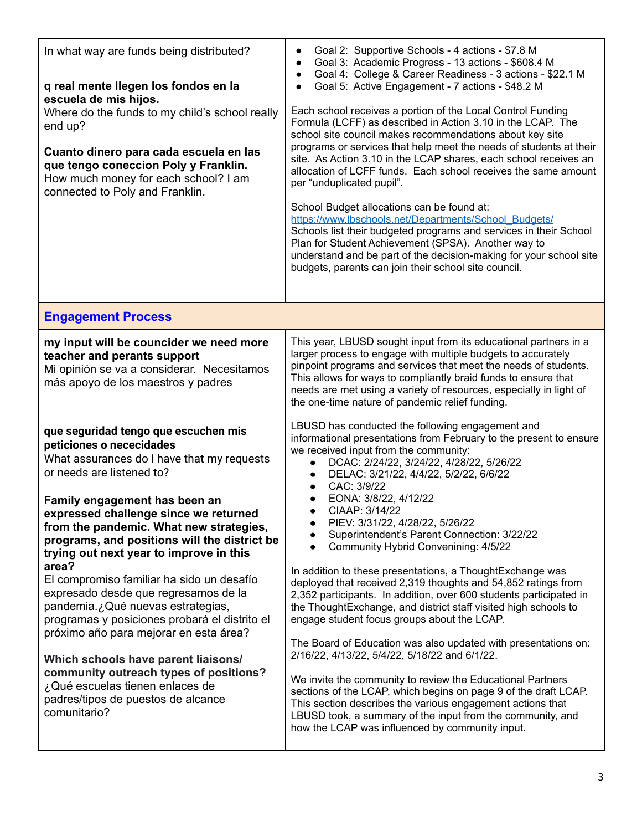| In what way are funds being distributed?<br>q real mente llegen los fondos en la<br>escuela de mis hijos.<br>Where do the funds to my child's school really<br>end up?<br>Cuanto dinero para cada escuela en las<br>que tengo coneccion Poly y Franklin.<br>How much money for each school? I am<br>connected to Poly and Franklin.                                                                                                                                                                                                                                                                                                                                                                                                                                 | Goal 2: Supportive Schools - 4 actions - \$7.8 M<br>$\bullet$<br>Goal 3: Academic Progress - 13 actions - \$608.4 M<br>$\bullet$<br>Goal 4: College & Career Readiness - 3 actions - \$22.1 M<br>$\bullet$<br>Goal 5: Active Engagement - 7 actions - \$48.2 M<br>$\bullet$<br>Each school receives a portion of the Local Control Funding<br>Formula (LCFF) as described in Action 3.10 in the LCAP. The<br>school site council makes recommendations about key site<br>programs or services that help meet the needs of students at their<br>site. As Action 3.10 in the LCAP shares, each school receives an<br>allocation of LCFF funds. Each school receives the same amount<br>per "unduplicated pupil".<br>School Budget allocations can be found at:<br>https://www.lbschools.net/Departments/School_Budgets/<br>Schools list their budgeted programs and services in their School<br>Plan for Student Achievement (SPSA). Another way to<br>understand and be part of the decision-making for your school site<br>budgets, parents can join their school site council.                                                                                                                                                                        |
|---------------------------------------------------------------------------------------------------------------------------------------------------------------------------------------------------------------------------------------------------------------------------------------------------------------------------------------------------------------------------------------------------------------------------------------------------------------------------------------------------------------------------------------------------------------------------------------------------------------------------------------------------------------------------------------------------------------------------------------------------------------------|--------------------------------------------------------------------------------------------------------------------------------------------------------------------------------------------------------------------------------------------------------------------------------------------------------------------------------------------------------------------------------------------------------------------------------------------------------------------------------------------------------------------------------------------------------------------------------------------------------------------------------------------------------------------------------------------------------------------------------------------------------------------------------------------------------------------------------------------------------------------------------------------------------------------------------------------------------------------------------------------------------------------------------------------------------------------------------------------------------------------------------------------------------------------------------------------------------------------------------------------------------|
| <b>Engagement Process</b>                                                                                                                                                                                                                                                                                                                                                                                                                                                                                                                                                                                                                                                                                                                                           |                                                                                                                                                                                                                                                                                                                                                                                                                                                                                                                                                                                                                                                                                                                                                                                                                                                                                                                                                                                                                                                                                                                                                                                                                                                        |
| my input will be councider we need more<br>teacher and perants support<br>Mi opinión se va a considerar. Necesitamos<br>más apoyo de los maestros y padres                                                                                                                                                                                                                                                                                                                                                                                                                                                                                                                                                                                                          | This year, LBUSD sought input from its educational partners in a<br>larger process to engage with multiple budgets to accurately<br>pinpoint programs and services that meet the needs of students.<br>This allows for ways to compliantly braid funds to ensure that<br>needs are met using a variety of resources, especially in light of<br>the one-time nature of pandemic relief funding.                                                                                                                                                                                                                                                                                                                                                                                                                                                                                                                                                                                                                                                                                                                                                                                                                                                         |
| que seguridad tengo que escuchen mis<br>peticiones o nececidades<br>What assurances do I have that my requests<br>or needs are listened to?<br>Family engagement has been an<br>expressed challenge since we returned<br>from the pandemic. What new strategies,<br>programs, and positions will the district be<br>trying out next year to improve in this<br>area?<br>El compromiso familiar ha sido un desafío<br>expresado desde que regresamos de la<br>pandemia.¿Qué nuevas estrategias,<br>programas y posiciones probará el distrito el<br>próximo año para mejorar en esta área?<br>Which schools have parent liaisons/<br>community outreach types of positions?<br>¿Qué escuelas tienen enlaces de<br>padres/tipos de puestos de alcance<br>comunitario? | LBUSD has conducted the following engagement and<br>informational presentations from February to the present to ensure<br>we received input from the community:<br>DCAC: 2/24/22, 3/24/22, 4/28/22, 5/26/22<br>$\bullet$<br>DELAC: 3/21/22, 4/4/22, 5/2/22, 6/6/22<br>$\bullet$<br>CAC: 3/9/22<br>EONA: 3/8/22, 4/12/22<br>CIAAP: 3/14/22<br>PIEV: 3/31/22, 4/28/22, 5/26/22<br>$\bullet$<br>Superintendent's Parent Connection: 3/22/22<br>Community Hybrid Convenining: 4/5/22<br>$\bullet$<br>In addition to these presentations, a ThoughtExchange was<br>deployed that received 2,319 thoughts and 54,852 ratings from<br>2,352 participants. In addition, over 600 students participated in<br>the ThoughtExchange, and district staff visited high schools to<br>engage student focus groups about the LCAP.<br>The Board of Education was also updated with presentations on:<br>2/16/22, 4/13/22, 5/4/22, 5/18/22 and 6/1/22.<br>We invite the community to review the Educational Partners<br>sections of the LCAP, which begins on page 9 of the draft LCAP.<br>This section describes the various engagement actions that<br>LBUSD took, a summary of the input from the community, and<br>how the LCAP was influenced by community input. |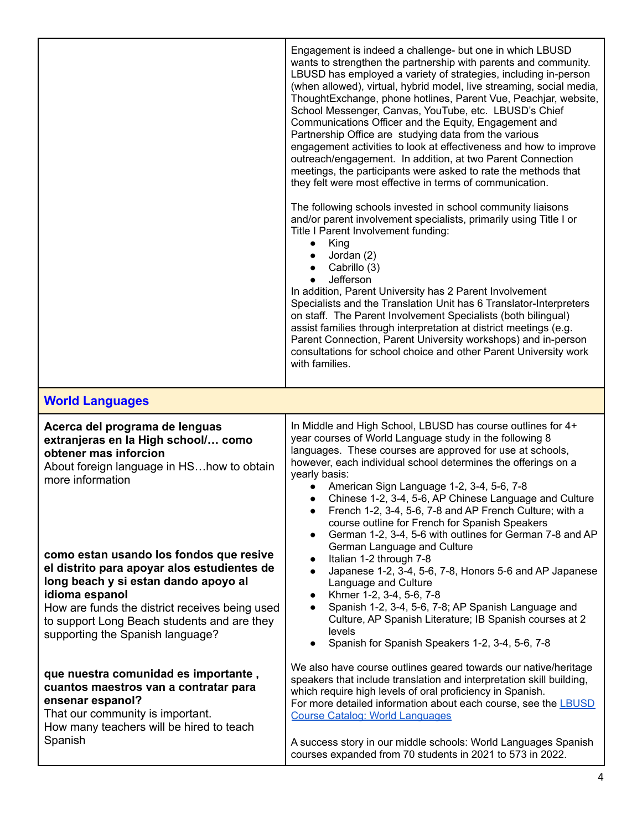|                                                                                                                                                                                                                                                                                       | Engagement is indeed a challenge- but one in which LBUSD<br>wants to strengthen the partnership with parents and community.<br>LBUSD has employed a variety of strategies, including in-person<br>(when allowed), virtual, hybrid model, live streaming, social media,<br>ThoughtExchange, phone hotlines, Parent Vue, Peachjar, website,<br>School Messenger, Canvas, YouTube, etc. LBUSD's Chief<br>Communications Officer and the Equity, Engagement and<br>Partnership Office are studying data from the various<br>engagement activities to look at effectiveness and how to improve<br>outreach/engagement. In addition, at two Parent Connection<br>meetings, the participants were asked to rate the methods that<br>they felt were most effective in terms of communication.<br>The following schools invested in school community liaisons<br>and/or parent involvement specialists, primarily using Title I or<br>Title I Parent Involvement funding:<br>King<br>$\bullet$<br>Jordan (2)<br>Cabrillo (3)<br>Jefferson<br>$\bullet$<br>In addition, Parent University has 2 Parent Involvement<br>Specialists and the Translation Unit has 6 Translator-Interpreters<br>on staff. The Parent Involvement Specialists (both bilingual)<br>assist families through interpretation at district meetings (e.g.<br>Parent Connection, Parent University workshops) and in-person |
|---------------------------------------------------------------------------------------------------------------------------------------------------------------------------------------------------------------------------------------------------------------------------------------|---------------------------------------------------------------------------------------------------------------------------------------------------------------------------------------------------------------------------------------------------------------------------------------------------------------------------------------------------------------------------------------------------------------------------------------------------------------------------------------------------------------------------------------------------------------------------------------------------------------------------------------------------------------------------------------------------------------------------------------------------------------------------------------------------------------------------------------------------------------------------------------------------------------------------------------------------------------------------------------------------------------------------------------------------------------------------------------------------------------------------------------------------------------------------------------------------------------------------------------------------------------------------------------------------------------------------------------------------------------------------------------|
|                                                                                                                                                                                                                                                                                       | consultations for school choice and other Parent University work<br>with families.                                                                                                                                                                                                                                                                                                                                                                                                                                                                                                                                                                                                                                                                                                                                                                                                                                                                                                                                                                                                                                                                                                                                                                                                                                                                                                    |
| <b>World Languages</b>                                                                                                                                                                                                                                                                |                                                                                                                                                                                                                                                                                                                                                                                                                                                                                                                                                                                                                                                                                                                                                                                                                                                                                                                                                                                                                                                                                                                                                                                                                                                                                                                                                                                       |
| Acerca del programa de lenguas<br>extranjeras en la High school/ como<br>obtener mas inforcion<br>About foreign language in HShow to obtain<br>more information                                                                                                                       | In Middle and High School, LBUSD has course outlines for 4+<br>year courses of World Language study in the following 8<br>languages. These courses are approved for use at schools,<br>however, each individual school determines the offerings on a<br>yearly basis:<br>American Sign Language 1-2, 3-4, 5-6, 7-8<br>Chinese 1-2, 3-4, 5-6, AP Chinese Language and Culture<br>French 1-2, 3-4, 5-6, 7-8 and AP French Culture; with a<br>course outline for French for Spanish Speakers<br>German 1-2, 3-4, 5-6 with outlines for German 7-8 and AP                                                                                                                                                                                                                                                                                                                                                                                                                                                                                                                                                                                                                                                                                                                                                                                                                                 |
| como estan usando los fondos que resive<br>el distrito para apoyar alos estudientes de<br>long beach y si estan dando apoyo al<br>idioma espanol<br>How are funds the district receives being used<br>to support Long Beach students and are they<br>supporting the Spanish language? | German Language and Culture<br>Italian 1-2 through 7-8<br>$\bullet$<br>Japanese 1-2, 3-4, 5-6, 7-8, Honors 5-6 and AP Japanese<br>Language and Culture<br>Khmer 1-2, 3-4, 5-6, 7-8<br>Spanish 1-2, 3-4, 5-6, 7-8; AP Spanish Language and<br>Culture, AP Spanish Literature; IB Spanish courses at 2<br>levels<br>Spanish for Spanish Speakers 1-2, 3-4, 5-6, 7-8                                                                                                                                                                                                                                                                                                                                                                                                                                                                                                                                                                                                                                                                                                                                                                                                                                                                                                                                                                                                                     |
| que nuestra comunidad es importante,<br>cuantos maestros van a contratar para<br>ensenar espanol?<br>That our community is important.<br>How many teachers will be hired to teach<br>Spanish                                                                                          | We also have course outlines geared towards our native/heritage<br>speakers that include translation and interpretation skill building,<br>which require high levels of oral proficiency in Spanish.<br>For more detailed information about each course, see the <b>LBUSD</b><br><b>Course Catalog: World Languages</b><br>A success story in our middle schools: World Languages Spanish<br>courses expanded from 70 students in 2021 to 573 in 2022.                                                                                                                                                                                                                                                                                                                                                                                                                                                                                                                                                                                                                                                                                                                                                                                                                                                                                                                                |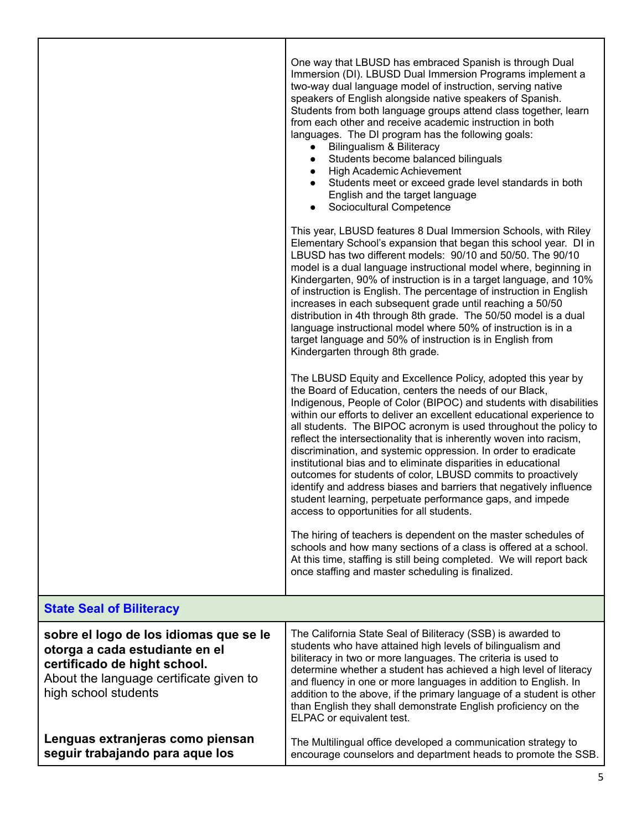|                                                                                                                                                                             | One way that LBUSD has embraced Spanish is through Dual<br>Immersion (DI). LBUSD Dual Immersion Programs implement a<br>two-way dual language model of instruction, serving native<br>speakers of English alongside native speakers of Spanish.<br>Students from both language groups attend class together, learn<br>from each other and receive academic instruction in both<br>languages. The DI program has the following goals:<br>Bilingualism & Biliteracy<br>$\bullet$<br>Students become balanced bilinguals<br>$\bullet$<br>High Academic Achievement<br>$\bullet$<br>Students meet or exceed grade level standards in both<br>$\bullet$<br>English and the target language<br>Sociocultural Competence<br>$\bullet$                                                                       |
|-----------------------------------------------------------------------------------------------------------------------------------------------------------------------------|------------------------------------------------------------------------------------------------------------------------------------------------------------------------------------------------------------------------------------------------------------------------------------------------------------------------------------------------------------------------------------------------------------------------------------------------------------------------------------------------------------------------------------------------------------------------------------------------------------------------------------------------------------------------------------------------------------------------------------------------------------------------------------------------------|
|                                                                                                                                                                             | This year, LBUSD features 8 Dual Immersion Schools, with Riley<br>Elementary School's expansion that began this school year. DI in<br>LBUSD has two different models: 90/10 and 50/50. The 90/10<br>model is a dual language instructional model where, beginning in<br>Kindergarten, 90% of instruction is in a target language, and 10%<br>of instruction is English. The percentage of instruction in English<br>increases in each subsequent grade until reaching a 50/50<br>distribution in 4th through 8th grade. The 50/50 model is a dual<br>language instructional model where 50% of instruction is in a<br>target language and 50% of instruction is in English from<br>Kindergarten through 8th grade.                                                                                   |
|                                                                                                                                                                             | The LBUSD Equity and Excellence Policy, adopted this year by<br>the Board of Education, centers the needs of our Black,<br>Indigenous, People of Color (BIPOC) and students with disabilities<br>within our efforts to deliver an excellent educational experience to<br>all students. The BIPOC acronym is used throughout the policy to<br>reflect the intersectionality that is inherently woven into racism,<br>discrimination, and systemic oppression. In order to eradicate<br>institutional bias and to eliminate disparities in educational<br>outcomes for students of color, LBUSD commits to proactively<br>identify and address biases and barriers that negatively influence<br>student learning, perpetuate performance gaps, and impede<br>access to opportunities for all students. |
|                                                                                                                                                                             | The hiring of teachers is dependent on the master schedules of<br>schools and how many sections of a class is offered at a school.<br>At this time, staffing is still being completed. We will report back<br>once staffing and master scheduling is finalized.                                                                                                                                                                                                                                                                                                                                                                                                                                                                                                                                      |
| <b>State Seal of Biliteracy</b>                                                                                                                                             |                                                                                                                                                                                                                                                                                                                                                                                                                                                                                                                                                                                                                                                                                                                                                                                                      |
| sobre el logo de los idiomas que se le<br>otorga a cada estudiante en el<br>certificado de hight school.<br>About the language certificate given to<br>high school students | The California State Seal of Biliteracy (SSB) is awarded to<br>students who have attained high levels of bilingualism and<br>biliteracy in two or more languages. The criteria is used to<br>determine whether a student has achieved a high level of literacy<br>and fluency in one or more languages in addition to English. In<br>addition to the above, if the primary language of a student is other<br>than English they shall demonstrate English proficiency on the<br>ELPAC or equivalent test.                                                                                                                                                                                                                                                                                             |
| Lenguas extranjeras como piensan<br>seguir trabajando para aque los                                                                                                         | The Multilingual office developed a communication strategy to<br>encourage counselors and department heads to promote the SSB.                                                                                                                                                                                                                                                                                                                                                                                                                                                                                                                                                                                                                                                                       |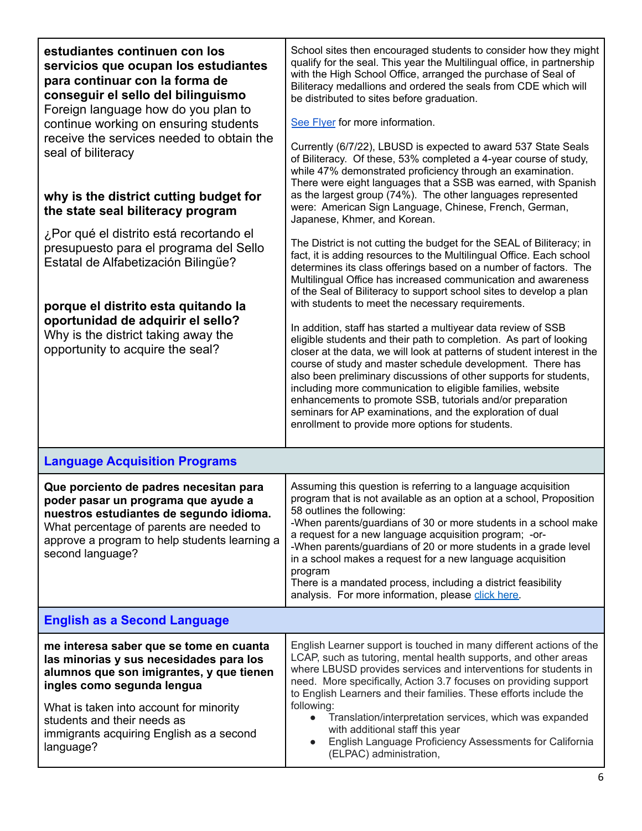| estudiantes continuen con los<br>servicios que ocupan los estudiantes<br>para continuar con la forma de<br>conseguir el sello del bilinguismo<br>Foreign language how do you plan to                                                      | School sites then encouraged students to consider how they might<br>qualify for the seal. This year the Multilingual office, in partnership<br>with the High School Office, arranged the purchase of Seal of<br>Biliteracy medallions and ordered the seals from CDE which will<br>be distributed to sites before graduation.                                                                                                                                                                                                                                                                 |  |
|-------------------------------------------------------------------------------------------------------------------------------------------------------------------------------------------------------------------------------------------|-----------------------------------------------------------------------------------------------------------------------------------------------------------------------------------------------------------------------------------------------------------------------------------------------------------------------------------------------------------------------------------------------------------------------------------------------------------------------------------------------------------------------------------------------------------------------------------------------|--|
| continue working on ensuring students<br>receive the services needed to obtain the<br>seal of biliteracy                                                                                                                                  | See Flyer for more information.<br>Currently (6/7/22), LBUSD is expected to award 537 State Seals<br>of Biliteracy. Of these, 53% completed a 4-year course of study,<br>while 47% demonstrated proficiency through an examination.<br>There were eight languages that a SSB was earned, with Spanish                                                                                                                                                                                                                                                                                         |  |
| why is the district cutting budget for<br>the state seal biliteracy program                                                                                                                                                               | as the largest group (74%). The other languages represented<br>were: American Sign Language, Chinese, French, German,<br>Japanese, Khmer, and Korean.                                                                                                                                                                                                                                                                                                                                                                                                                                         |  |
| ¿Por qué el distrito está recortando el<br>presupuesto para el programa del Sello<br>Estatal de Alfabetización Bilingüe?                                                                                                                  | The District is not cutting the budget for the SEAL of Biliteracy; in<br>fact, it is adding resources to the Multilingual Office. Each school<br>determines its class offerings based on a number of factors. The<br>Multilingual Office has increased communication and awareness<br>of the Seal of Biliteracy to support school sites to develop a plan<br>with students to meet the necessary requirements.                                                                                                                                                                                |  |
| porque el distrito esta quitando la<br>oportunidad de adquirir el sello?<br>Why is the district taking away the<br>opportunity to acquire the seal?                                                                                       | In addition, staff has started a multiyear data review of SSB<br>eligible students and their path to completion. As part of looking<br>closer at the data, we will look at patterns of student interest in the<br>course of study and master schedule development. There has<br>also been preliminary discussions of other supports for students,<br>including more communication to eligible families, website<br>enhancements to promote SSB, tutorials and/or preparation<br>seminars for AP examinations, and the exploration of dual<br>enrollment to provide more options for students. |  |
| <b>Language Acquisition Programs</b>                                                                                                                                                                                                      |                                                                                                                                                                                                                                                                                                                                                                                                                                                                                                                                                                                               |  |
| Que porciento de padres necesitan para<br>poder pasar un programa que ayude a<br>nuestros estudiantes de segundo idioma.<br>What percentage of parents are needed to<br>approve a program to help students learning a<br>second language? | Assuming this question is referring to a language acquisition<br>program that is not available as an option at a school, Proposition<br>58 outlines the following:<br>-When parents/guardians of 30 or more students in a school make<br>a request for a new language acquisition program; -or-<br>-When parents/guardians of 20 or more students in a grade level<br>in a school makes a request for a new language acquisition<br>program<br>There is a mandated process, including a district feasibility<br>analysis. For more information, please click here.                            |  |
| <b>English as a Second Language</b>                                                                                                                                                                                                       |                                                                                                                                                                                                                                                                                                                                                                                                                                                                                                                                                                                               |  |
| me interesa saber que se tome en cuanta<br>las minorias y sus necesidades para los<br>alumnos que son imigrantes, y que tienen<br>ingles como segunda lengua                                                                              | English Learner support is touched in many different actions of the<br>LCAP, such as tutoring, mental health supports, and other areas<br>where LBUSD provides services and interventions for students in<br>need. More specifically, Action 3.7 focuses on providing support<br>to English Learners and their families. These efforts include the                                                                                                                                                                                                                                            |  |
| What is taken into account for minority<br>students and their needs as<br>immigrants acquiring English as a second<br>language?                                                                                                           | following:<br>Translation/interpretation services, which was expanded<br>$\bullet$<br>with additional staff this year<br>English Language Proficiency Assessments for California<br>$\bullet$<br>(ELPAC) administration,                                                                                                                                                                                                                                                                                                                                                                      |  |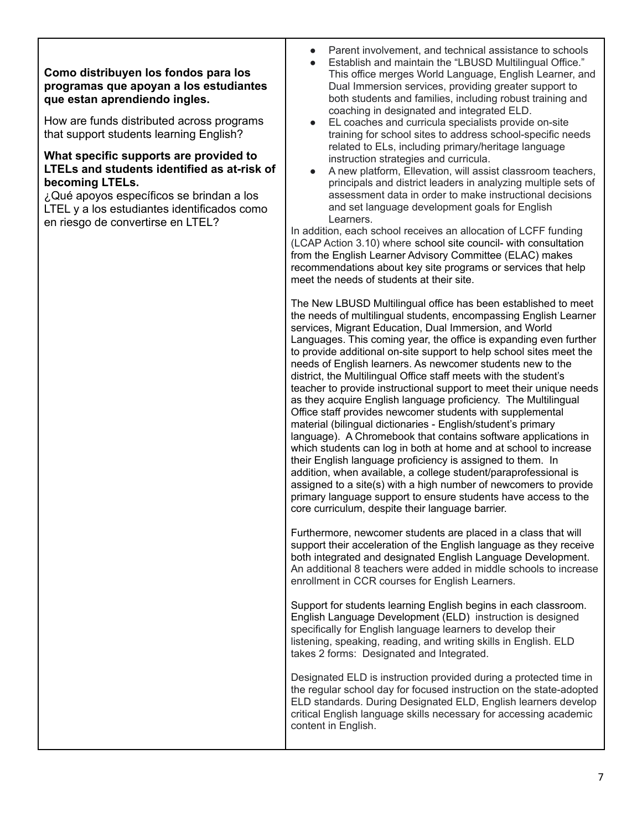### **Como distribuyen los fondos para los programas que apoyan a los estudiantes que estan aprendiendo ingles.**

How are funds distributed across programs that support students learning English?

### **What specific supports are provided to LTELs and students identified as at-risk of becoming LTELs.**

¿Qué apoyos específicos se brindan a los LTEL y a los estudiantes identificados como en riesgo de convertirse en LTEL?

- Parent involvement, and technical assistance to schools
- Establish and maintain the "LBUSD Multilingual Office."
- This office merges World Language, English Learner, and Dual Immersion services, providing greater support to both students and families, including robust training and coaching in designated and integrated ELD.
- EL coaches and curricula specialists provide on-site training for school sites to address school-specific needs related to ELs, including primary/heritage language instruction strategies and curricula.
- A new platform, Ellevation, will assist classroom teachers, principals and district leaders in analyzing multiple sets of assessment data in order to make instructional decisions and set language development goals for English Learners.

In addition, each school receives an allocation of LCFF funding (LCAP Action 3.10) where school site council- with consultation from the English Learner Advisory Committee (ELAC) makes recommendations about key site programs or services that help meet the needs of students at their site.

The New LBUSD Multilingual office has been established to meet the needs of multilingual students, encompassing English Learner services, Migrant Education, Dual Immersion, and World Languages. This coming year, the office is expanding even further to provide additional on-site support to help school sites meet the needs of English learners. As newcomer students new to the district, the Multilingual Office staff meets with the student's teacher to provide instructional support to meet their unique needs as they acquire English language proficiency. The Multilingual Office staff provides newcomer students with supplemental material (bilingual dictionaries - English/student's primary language). A Chromebook that contains software applications in which students can log in both at home and at school to increase their English language proficiency is assigned to them. In addition, when available, a college student/paraprofessional is assigned to a site(s) with a high number of newcomers to provide primary language support to ensure students have access to the core curriculum, despite their language barrier.

Furthermore, newcomer students are placed in a class that will support their acceleration of the English language as they receive both integrated and designated English Language Development. An additional 8 teachers were added in middle schools to increase enrollment in CCR courses for English Learners.

Support for students learning English begins in each classroom. English Language Development (ELD) instruction is designed specifically for English language learners to develop their listening, speaking, reading, and writing skills in English. ELD takes 2 forms: Designated and Integrated.

Designated ELD is instruction provided during a protected time in the regular school day for focused instruction on the state-adopted ELD standards. During Designated ELD, English learners develop critical English language skills necessary for accessing academic content in English.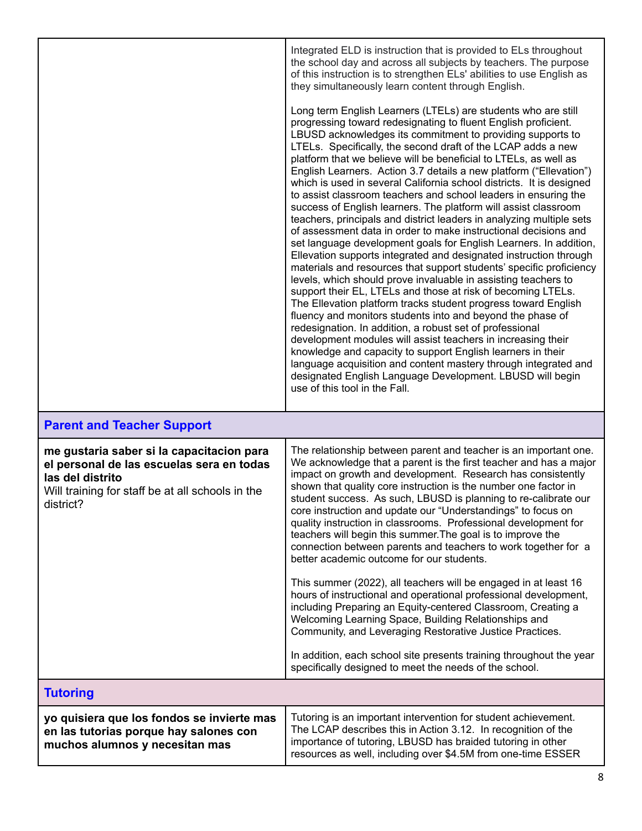|                                                                                                                                                                             | Integrated ELD is instruction that is provided to ELs throughout<br>the school day and across all subjects by teachers. The purpose<br>of this instruction is to strengthen ELs' abilities to use English as<br>they simultaneously learn content through English.                                                                                                                                                                                                                                                                                                                                                                                                                                                                                                                                                                                                                                                                                                                                                                                                                                                                                                                                                                                                                                                                                                                                                                                                                                                                                                                                              |
|-----------------------------------------------------------------------------------------------------------------------------------------------------------------------------|-----------------------------------------------------------------------------------------------------------------------------------------------------------------------------------------------------------------------------------------------------------------------------------------------------------------------------------------------------------------------------------------------------------------------------------------------------------------------------------------------------------------------------------------------------------------------------------------------------------------------------------------------------------------------------------------------------------------------------------------------------------------------------------------------------------------------------------------------------------------------------------------------------------------------------------------------------------------------------------------------------------------------------------------------------------------------------------------------------------------------------------------------------------------------------------------------------------------------------------------------------------------------------------------------------------------------------------------------------------------------------------------------------------------------------------------------------------------------------------------------------------------------------------------------------------------------------------------------------------------|
|                                                                                                                                                                             | Long term English Learners (LTELs) are students who are still<br>progressing toward redesignating to fluent English proficient.<br>LBUSD acknowledges its commitment to providing supports to<br>LTELs. Specifically, the second draft of the LCAP adds a new<br>platform that we believe will be beneficial to LTELs, as well as<br>English Learners. Action 3.7 details a new platform ("Ellevation")<br>which is used in several California school districts. It is designed<br>to assist classroom teachers and school leaders in ensuring the<br>success of English learners. The platform will assist classroom<br>teachers, principals and district leaders in analyzing multiple sets<br>of assessment data in order to make instructional decisions and<br>set language development goals for English Learners. In addition,<br>Ellevation supports integrated and designated instruction through<br>materials and resources that support students' specific proficiency<br>levels, which should prove invaluable in assisting teachers to<br>support their EL, LTELs and those at risk of becoming LTELs.<br>The Ellevation platform tracks student progress toward English<br>fluency and monitors students into and beyond the phase of<br>redesignation. In addition, a robust set of professional<br>development modules will assist teachers in increasing their<br>knowledge and capacity to support English learners in their<br>language acquisition and content mastery through integrated and<br>designated English Language Development. LBUSD will begin<br>use of this tool in the Fall. |
| <b>Parent and Teacher Support</b>                                                                                                                                           |                                                                                                                                                                                                                                                                                                                                                                                                                                                                                                                                                                                                                                                                                                                                                                                                                                                                                                                                                                                                                                                                                                                                                                                                                                                                                                                                                                                                                                                                                                                                                                                                                 |
| me gustaria saber si la capacitacion para<br>el personal de las escuelas sera en todas<br>las del distrito<br>Will training for staff be at all schools in the<br>district? | The relationship between parent and teacher is an important one.<br>We acknowledge that a parent is the first teacher and has a major<br>impact on growth and development. Research has consistently<br>shown that quality core instruction is the number one factor in<br>student success. As such, LBUSD is planning to re-calibrate our<br>core instruction and update our "Understandings" to focus on<br>quality instruction in classrooms. Professional development for<br>teachers will begin this summer. The goal is to improve the<br>connection between parents and teachers to work together for a<br>better academic outcome for our students.                                                                                                                                                                                                                                                                                                                                                                                                                                                                                                                                                                                                                                                                                                                                                                                                                                                                                                                                                     |
|                                                                                                                                                                             | This summer (2022), all teachers will be engaged in at least 16<br>hours of instructional and operational professional development,<br>including Preparing an Equity-centered Classroom, Creating a<br>Welcoming Learning Space, Building Relationships and<br>Community, and Leveraging Restorative Justice Practices.                                                                                                                                                                                                                                                                                                                                                                                                                                                                                                                                                                                                                                                                                                                                                                                                                                                                                                                                                                                                                                                                                                                                                                                                                                                                                         |
|                                                                                                                                                                             | In addition, each school site presents training throughout the year<br>specifically designed to meet the needs of the school.                                                                                                                                                                                                                                                                                                                                                                                                                                                                                                                                                                                                                                                                                                                                                                                                                                                                                                                                                                                                                                                                                                                                                                                                                                                                                                                                                                                                                                                                                   |
| <b>Tutoring</b>                                                                                                                                                             |                                                                                                                                                                                                                                                                                                                                                                                                                                                                                                                                                                                                                                                                                                                                                                                                                                                                                                                                                                                                                                                                                                                                                                                                                                                                                                                                                                                                                                                                                                                                                                                                                 |
| yo quisiera que los fondos se invierte mas<br>en las tutorias porque hay salones con<br>muchos alumnos y necesitan mas                                                      | Tutoring is an important intervention for student achievement.<br>The LCAP describes this in Action 3.12. In recognition of the<br>importance of tutoring, LBUSD has braided tutoring in other                                                                                                                                                                                                                                                                                                                                                                                                                                                                                                                                                                                                                                                                                                                                                                                                                                                                                                                                                                                                                                                                                                                                                                                                                                                                                                                                                                                                                  |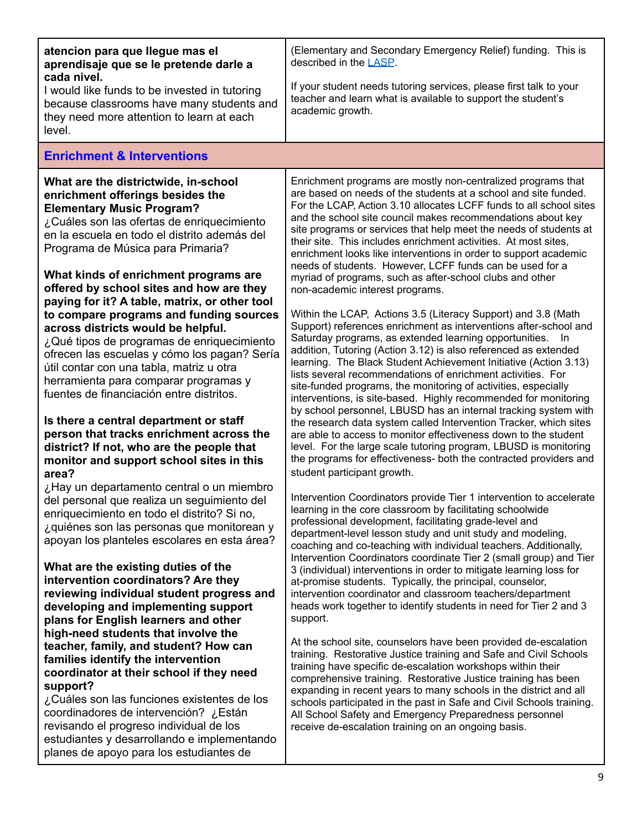| atencion para que llegue mas el<br>aprendisaje que se le pretende darle a<br>cada nivel.<br>I would like funds to be invested in tutoring<br>because classrooms have many students and<br>they need more attention to learn at each<br>level.                                                                                                                                                                                                                                                                                                                                                                                                                                                                                                                                                                                                                                                                                                                                                                                            | (Elementary and Secondary Emergency Relief) funding. This is<br>described in the LASP.<br>If your student needs tutoring services, please first talk to your<br>teacher and learn what is available to support the student's<br>academic growth.                                                                                                                                                                                                                                                                                                                                                                                                                                                                                                                                                                                                                                                                                                                                                                                                                                                                                                                                                                                                                                                                                                                                                                                                                                                                                                                                                                                                                                                                    |
|------------------------------------------------------------------------------------------------------------------------------------------------------------------------------------------------------------------------------------------------------------------------------------------------------------------------------------------------------------------------------------------------------------------------------------------------------------------------------------------------------------------------------------------------------------------------------------------------------------------------------------------------------------------------------------------------------------------------------------------------------------------------------------------------------------------------------------------------------------------------------------------------------------------------------------------------------------------------------------------------------------------------------------------|---------------------------------------------------------------------------------------------------------------------------------------------------------------------------------------------------------------------------------------------------------------------------------------------------------------------------------------------------------------------------------------------------------------------------------------------------------------------------------------------------------------------------------------------------------------------------------------------------------------------------------------------------------------------------------------------------------------------------------------------------------------------------------------------------------------------------------------------------------------------------------------------------------------------------------------------------------------------------------------------------------------------------------------------------------------------------------------------------------------------------------------------------------------------------------------------------------------------------------------------------------------------------------------------------------------------------------------------------------------------------------------------------------------------------------------------------------------------------------------------------------------------------------------------------------------------------------------------------------------------------------------------------------------------------------------------------------------------|
| <b>Enrichment &amp; Interventions</b>                                                                                                                                                                                                                                                                                                                                                                                                                                                                                                                                                                                                                                                                                                                                                                                                                                                                                                                                                                                                    |                                                                                                                                                                                                                                                                                                                                                                                                                                                                                                                                                                                                                                                                                                                                                                                                                                                                                                                                                                                                                                                                                                                                                                                                                                                                                                                                                                                                                                                                                                                                                                                                                                                                                                                     |
| What are the districtwide, in-school<br>enrichment offerings besides the<br><b>Elementary Music Program?</b><br>¿Cuáles son las ofertas de enriquecimiento<br>en la escuela en todo el distrito además del<br>Programa de Música para Primaria?<br>What kinds of enrichment programs are<br>offered by school sites and how are they<br>paying for it? A table, matrix, or other tool<br>to compare programs and funding sources<br>across districts would be helpful.<br>¿Qué tipos de programas de enriquecimiento<br>ofrecen las escuelas y cómo los pagan? Sería<br>útil contar con una tabla, matriz u otra<br>herramienta para comparar programas y<br>fuentes de financiación entre distritos.<br>Is there a central department or staff<br>person that tracks enrichment across the<br>district? If not, who are the people that<br>monitor and support school sites in this<br>area?<br>¿Hay un departamento central o un miembro<br>del personal que realiza un seguimiento del<br>enriquecimiento en todo el distrito? Si no, | Enrichment programs are mostly non-centralized programs that<br>are based on needs of the students at a school and site funded.<br>For the LCAP, Action 3.10 allocates LCFF funds to all school sites<br>and the school site council makes recommendations about key<br>site programs or services that help meet the needs of students at<br>their site. This includes enrichment activities. At most sites,<br>enrichment looks like interventions in order to support academic<br>needs of students. However, LCFF funds can be used for a<br>myriad of programs, such as after-school clubs and other<br>non-academic interest programs.<br>Within the LCAP, Actions 3.5 (Literacy Support) and 3.8 (Math<br>Support) references enrichment as interventions after-school and<br>Saturday programs, as extended learning opportunities.<br>-ln<br>addition, Tutoring (Action 3.12) is also referenced as extended<br>learning. The Black Student Achievement Initiative (Action 3.13)<br>lists several recommendations of enrichment activities. For<br>site-funded programs, the monitoring of activities, especially<br>interventions, is site-based. Highly recommended for monitoring<br>by school personnel, LBUSD has an internal tracking system with<br>the research data system called Intervention Tracker, which sites<br>are able to access to monitor effectiveness down to the student<br>level. For the large scale tutoring program, LBUSD is monitoring<br>the programs for effectiveness- both the contracted providers and<br>student participant growth.<br>Intervention Coordinators provide Tier 1 intervention to accelerate<br>learning in the core classroom by facilitating schoolwide |
| ¿quiénes son las personas que monitorean y<br>apoyan los planteles escolares en esta área?<br>What are the existing duties of the<br>intervention coordinators? Are they<br>reviewing individual student progress and<br>developing and implementing support<br>plans for English learners and other<br>high-need students that involve the<br>teacher, family, and student? How can<br>families identify the intervention<br>coordinator at their school if they need<br>support?<br>¿Cuáles son las funciones existentes de los<br>coordinadores de intervención? ¿Están<br>revisando el progreso individual de los<br>estudiantes y desarrollando e implementando<br>planes de apoyo para los estudiantes de                                                                                                                                                                                                                                                                                                                          | professional development, facilitating grade-level and<br>department-level lesson study and unit study and modeling,<br>coaching and co-teaching with individual teachers. Additionally,<br>Intervention Coordinators coordinate Tier 2 (small group) and Tier<br>3 (individual) interventions in order to mitigate learning loss for<br>at-promise students. Typically, the principal, counselor,<br>intervention coordinator and classroom teachers/department<br>heads work together to identify students in need for Tier 2 and 3<br>support.<br>At the school site, counselors have been provided de-escalation<br>training. Restorative Justice training and Safe and Civil Schools<br>training have specific de-escalation workshops within their<br>comprehensive training. Restorative Justice training has been<br>expanding in recent years to many schools in the district and all<br>schools participated in the past in Safe and Civil Schools training.<br>All School Safety and Emergency Preparedness personnel<br>receive de-escalation training on an ongoing basis.                                                                                                                                                                                                                                                                                                                                                                                                                                                                                                                                                                                                                             |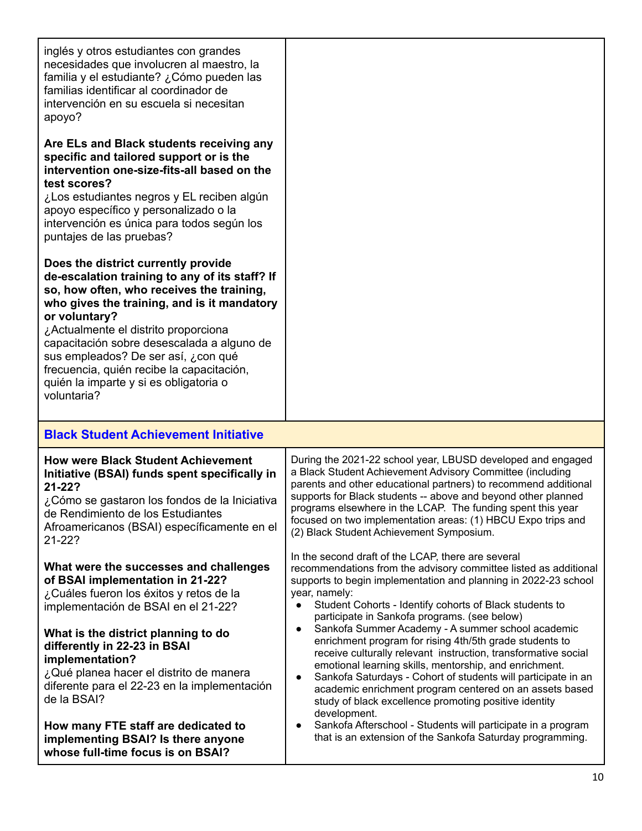| inglés y otros estudiantes con grandes<br>necesidades que involucren al maestro, la<br>familia y el estudiante? ¿Cómo pueden las<br>familias identificar al coordinador de<br>intervención en su escuela si necesitan<br>apoyo?                                                                                                                                                                                                       |                                                                                                                                                                                                                                                                                                                                                                                                                                                            |
|---------------------------------------------------------------------------------------------------------------------------------------------------------------------------------------------------------------------------------------------------------------------------------------------------------------------------------------------------------------------------------------------------------------------------------------|------------------------------------------------------------------------------------------------------------------------------------------------------------------------------------------------------------------------------------------------------------------------------------------------------------------------------------------------------------------------------------------------------------------------------------------------------------|
| Are ELs and Black students receiving any<br>specific and tailored support or is the<br>intervention one-size-fits-all based on the<br>test scores?<br>¿Los estudiantes negros y EL reciben algún<br>apoyo específico y personalizado o la<br>intervención es única para todos según los<br>puntajes de las pruebas?                                                                                                                   |                                                                                                                                                                                                                                                                                                                                                                                                                                                            |
| Does the district currently provide<br>de-escalation training to any of its staff? If<br>so, how often, who receives the training,<br>who gives the training, and is it mandatory<br>or voluntary?<br>¿Actualmente el distrito proporciona<br>capacitación sobre desescalada a alguno de<br>sus empleados? De ser así, ¿con qué<br>frecuencia, quién recibe la capacitación,<br>quién la imparte y si es obligatoria o<br>voluntaria? |                                                                                                                                                                                                                                                                                                                                                                                                                                                            |
| <b>Black Student Achievement Initiative</b>                                                                                                                                                                                                                                                                                                                                                                                           |                                                                                                                                                                                                                                                                                                                                                                                                                                                            |
| <b>How were Black Student Achievement</b><br>Initiative (BSAI) funds spent specifically in<br>$21 - 22?$<br>¿Cómo se gastaron los fondos de la Iniciativa<br>de Rendimiento de los Estudiantes<br>Afroamericanos (BSAI) específicamente en el<br>21-22?                                                                                                                                                                               | During the 2021-22 school year, LBUSD developed and engaged<br>a Black Student Achievement Advisory Committee (including<br>parents and other educational partners) to recommend additional<br>supports for Black students -- above and beyond other planned<br>programs elsewhere in the LCAP. The funding spent this year<br>focused on two implementation areas: (1) HBCU Expo trips and<br>(2) Black Student Achievement Symposium.                    |
| What were the successes and challenges<br>of BSAI implementation in 21-22?<br>¿Cuáles fueron los éxitos y retos de la<br>implementación de BSAI en el 21-22?                                                                                                                                                                                                                                                                          | In the second draft of the LCAP, there are several<br>recommendations from the advisory committee listed as additional<br>supports to begin implementation and planning in 2022-23 school<br>year, namely:<br>Student Cohorts - Identify cohorts of Black students to<br>participate in Sankofa programs. (see below)                                                                                                                                      |
| What is the district planning to do<br>differently in 22-23 in BSAI<br>implementation?<br>¿Qué planea hacer el distrito de manera<br>diferente para el 22-23 en la implementación<br>de la BSAI?                                                                                                                                                                                                                                      | Sankofa Summer Academy - A summer school academic<br>enrichment program for rising 4th/5th grade students to<br>receive culturally relevant instruction, transformative social<br>emotional learning skills, mentorship, and enrichment.<br>Sankofa Saturdays - Cohort of students will participate in an<br>$\bullet$<br>academic enrichment program centered on an assets based<br>study of black excellence promoting positive identity<br>development. |
| How many FTE staff are dedicated to<br>implementing BSAI? Is there anyone<br>whose full-time focus is on BSAI?                                                                                                                                                                                                                                                                                                                        | Sankofa Afterschool - Students will participate in a program<br>that is an extension of the Sankofa Saturday programming.                                                                                                                                                                                                                                                                                                                                  |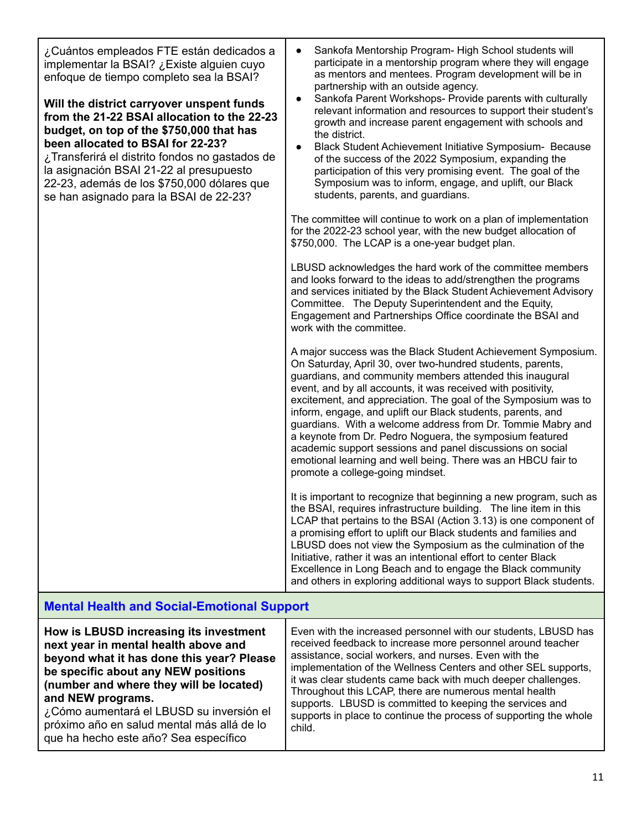| ¿Cuántos empleados FTE están dedicados a<br>implementar la BSAI? ¿Existe alguien cuyo<br>enfoque de tiempo completo sea la BSAI?<br>Will the district carryover unspent funds<br>from the 21-22 BSAI allocation to the 22-23<br>budget, on top of the \$750,000 that has<br>been allocated to BSAI for 22-23?<br>¿Transferirá el distrito fondos no gastados de<br>la asignación BSAI 21-22 al presupuesto<br>22-23, además de los \$750,000 dólares que<br>se han asignado para la BSAI de 22-23? | Sankofa Mentorship Program- High School students will<br>$\bullet$<br>participate in a mentorship program where they will engage<br>as mentors and mentees. Program development will be in<br>partnership with an outside agency.<br>Sankofa Parent Workshops- Provide parents with culturally<br>$\bullet$<br>relevant information and resources to support their student's<br>growth and increase parent engagement with schools and<br>the district.<br>Black Student Achievement Initiative Symposium- Because<br>$\bullet$<br>of the success of the 2022 Symposium, expanding the<br>participation of this very promising event. The goal of the<br>Symposium was to inform, engage, and uplift, our Black<br>students, parents, and guardians.<br>The committee will continue to work on a plan of implementation<br>for the 2022-23 school year, with the new budget allocation of<br>\$750,000. The LCAP is a one-year budget plan.<br>LBUSD acknowledges the hard work of the committee members<br>and looks forward to the ideas to add/strengthen the programs<br>and services initiated by the Black Student Achievement Advisory<br>Committee. The Deputy Superintendent and the Equity,                                                                                                                                  |
|----------------------------------------------------------------------------------------------------------------------------------------------------------------------------------------------------------------------------------------------------------------------------------------------------------------------------------------------------------------------------------------------------------------------------------------------------------------------------------------------------|----------------------------------------------------------------------------------------------------------------------------------------------------------------------------------------------------------------------------------------------------------------------------------------------------------------------------------------------------------------------------------------------------------------------------------------------------------------------------------------------------------------------------------------------------------------------------------------------------------------------------------------------------------------------------------------------------------------------------------------------------------------------------------------------------------------------------------------------------------------------------------------------------------------------------------------------------------------------------------------------------------------------------------------------------------------------------------------------------------------------------------------------------------------------------------------------------------------------------------------------------------------------------------------------------------------------------------------|
|                                                                                                                                                                                                                                                                                                                                                                                                                                                                                                    | Engagement and Partnerships Office coordinate the BSAI and<br>work with the committee.<br>A major success was the Black Student Achievement Symposium.<br>On Saturday, April 30, over two-hundred students, parents,<br>guardians, and community members attended this inaugural<br>event, and by all accounts, it was received with positivity,<br>excitement, and appreciation. The goal of the Symposium was to<br>inform, engage, and uplift our Black students, parents, and<br>guardians. With a welcome address from Dr. Tommie Mabry and<br>a keynote from Dr. Pedro Noguera, the symposium featured<br>academic support sessions and panel discussions on social<br>emotional learning and well being. There was an HBCU fair to<br>promote a college-going mindset.<br>It is important to recognize that beginning a new program, such as<br>the BSAI, requires infrastructure building. The line item in this<br>LCAP that pertains to the BSAI (Action 3.13) is one component of<br>a promising effort to uplift our Black students and families and<br>LBUSD does not view the Symposium as the culmination of the<br>Initiative, rather it was an intentional effort to center Black<br>Excellence in Long Beach and to engage the Black community<br>and others in exploring additional ways to support Black students. |

# **Mental Health and Social-Emotional Support**

| How is LBUSD increasing its investment     | Even with the increased personnel with our students, LBUSD has    |
|--------------------------------------------|-------------------------------------------------------------------|
| next year in mental health above and       | received feedback to increase more personnel around teacher       |
| beyond what it has done this year? Please  | assistance, social workers, and nurses. Even with the             |
| be specific about any NEW positions        | implementation of the Wellness Centers and other SEL supports,    |
| (number and where they will be located)    | it was clear students came back with much deeper challenges.      |
| and NEW programs.                          | Throughout this LCAP, there are numerous mental health            |
| ¿Cómo aumentará el LBUSD su inversión el   | supports. LBUSD is committed to keeping the services and          |
| próximo año en salud mental más allá de lo | supports in place to continue the process of supporting the whole |
| que ha hecho este año? Sea específico      | child.                                                            |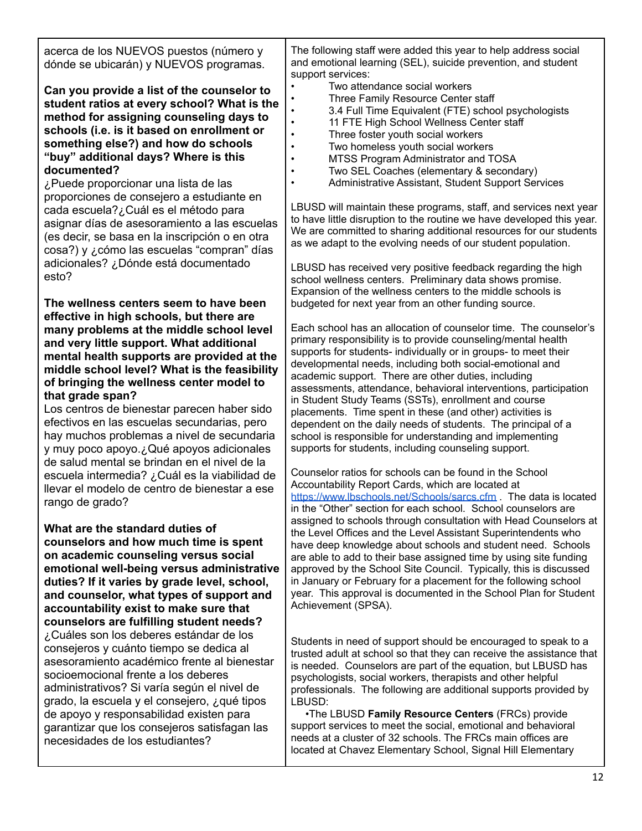| acerca de los NUEVOS puestos (número y<br>dónde se ubicarán) y NUEVOS programas.                                                                                                                                                                                                                                                                                                                                                                                                                                                                                                                                                                                                                                                                                                                                                  | The following staff were added this year to help address social<br>and emotional learning (SEL), suicide prevention, and student<br>support services:                                                                                                                                                                                                                                                                                                                                                                                                                                                                                                                                                                                                                                                                                                                                                                                                                                                                                                                                                                                                                                                                                                                                                                                                                      |
|-----------------------------------------------------------------------------------------------------------------------------------------------------------------------------------------------------------------------------------------------------------------------------------------------------------------------------------------------------------------------------------------------------------------------------------------------------------------------------------------------------------------------------------------------------------------------------------------------------------------------------------------------------------------------------------------------------------------------------------------------------------------------------------------------------------------------------------|----------------------------------------------------------------------------------------------------------------------------------------------------------------------------------------------------------------------------------------------------------------------------------------------------------------------------------------------------------------------------------------------------------------------------------------------------------------------------------------------------------------------------------------------------------------------------------------------------------------------------------------------------------------------------------------------------------------------------------------------------------------------------------------------------------------------------------------------------------------------------------------------------------------------------------------------------------------------------------------------------------------------------------------------------------------------------------------------------------------------------------------------------------------------------------------------------------------------------------------------------------------------------------------------------------------------------------------------------------------------------|
| Can you provide a list of the counselor to<br>student ratios at every school? What is the<br>method for assigning counseling days to<br>schools (i.e. is it based on enrollment or<br>something else?) and how do schools<br>"buy" additional days? Where is this<br>documented?<br>¿Puede proporcionar una lista de las<br>proporciones de consejero a estudiante en<br>cada escuela?¿Cuál es el método para<br>asignar días de asesoramiento a las escuelas<br>(es decir, se basa en la inscripción o en otra<br>cosa?) y ¿cómo las escuelas "compran" días<br>adicionales? ¿Dónde está documentado                                                                                                                                                                                                                             | Two attendance social workers<br>Three Family Resource Center staff<br>3.4 Full Time Equivalent (FTE) school psychologists<br>11 FTE High School Wellness Center staff<br>Three foster youth social workers<br>Two homeless youth social workers<br>MTSS Program Administrator and TOSA<br>Two SEL Coaches (elementary & secondary)<br>Administrative Assistant, Student Support Services<br>$\bullet$<br>LBUSD will maintain these programs, staff, and services next year<br>to have little disruption to the routine we have developed this year.<br>We are committed to sharing additional resources for our students<br>as we adapt to the evolving needs of our student population.                                                                                                                                                                                                                                                                                                                                                                                                                                                                                                                                                                                                                                                                                  |
| esto?                                                                                                                                                                                                                                                                                                                                                                                                                                                                                                                                                                                                                                                                                                                                                                                                                             | LBUSD has received very positive feedback regarding the high<br>school wellness centers. Preliminary data shows promise.<br>Expansion of the wellness centers to the middle schools is                                                                                                                                                                                                                                                                                                                                                                                                                                                                                                                                                                                                                                                                                                                                                                                                                                                                                                                                                                                                                                                                                                                                                                                     |
| The wellness centers seem to have been<br>effective in high schools, but there are<br>many problems at the middle school level                                                                                                                                                                                                                                                                                                                                                                                                                                                                                                                                                                                                                                                                                                    | budgeted for next year from an other funding source.<br>Each school has an allocation of counselor time. The counselor's                                                                                                                                                                                                                                                                                                                                                                                                                                                                                                                                                                                                                                                                                                                                                                                                                                                                                                                                                                                                                                                                                                                                                                                                                                                   |
| and very little support. What additional<br>mental health supports are provided at the<br>middle school level? What is the feasibility<br>of bringing the wellness center model to<br>that grade span?<br>Los centros de bienestar parecen haber sido<br>efectivos en las escuelas secundarias, pero<br>hay muchos problemas a nivel de secundaria<br>y muy poco apoyo.¿Qué apoyos adicionales<br>de salud mental se brindan en el nivel de la<br>escuela intermedia? ¿Cuál es la viabilidad de<br>llevar el modelo de centro de bienestar a ese<br>rango de grado?<br>What are the standard duties of<br>counselors and how much time is spent<br>on academic counseling versus social<br>emotional well-being versus administrative<br>duties? If it varies by grade level, school,<br>and counselor, what types of support and | primary responsibility is to provide counseling/mental health<br>supports for students- individually or in groups- to meet their<br>developmental needs, including both social-emotional and<br>academic support. There are other duties, including<br>assessments, attendance, behavioral interventions, participation<br>in Student Study Teams (SSTs), enrollment and course<br>placements. Time spent in these (and other) activities is<br>dependent on the daily needs of students. The principal of a<br>school is responsible for understanding and implementing<br>supports for students, including counseling support.<br>Counselor ratios for schools can be found in the School<br>Accountability Report Cards, which are located at<br>https://www.lbschools.net/Schools/sarcs.cfm. The data is located<br>in the "Other" section for each school. School counselors are<br>assigned to schools through consultation with Head Counselors at<br>the Level Offices and the Level Assistant Superintendents who<br>have deep knowledge about schools and student need. Schools<br>are able to add to their base assigned time by using site funding<br>approved by the School Site Council. Typically, this is discussed<br>in January or February for a placement for the following school<br>year. This approval is documented in the School Plan for Student |
| accountability exist to make sure that<br>counselors are fulfilling student needs?<br>¿Cuáles son los deberes estándar de los                                                                                                                                                                                                                                                                                                                                                                                                                                                                                                                                                                                                                                                                                                     | Achievement (SPSA).                                                                                                                                                                                                                                                                                                                                                                                                                                                                                                                                                                                                                                                                                                                                                                                                                                                                                                                                                                                                                                                                                                                                                                                                                                                                                                                                                        |
| consejeros y cuánto tiempo se dedica al<br>asesoramiento académico frente al bienestar<br>socioemocional frente a los deberes<br>administrativos? Si varía según el nivel de<br>grado, la escuela y el consejero, ¿qué tipos<br>de apoyo y responsabilidad existen para<br>garantizar que los consejeros satisfagan las<br>necesidades de los estudiantes?                                                                                                                                                                                                                                                                                                                                                                                                                                                                        | Students in need of support should be encouraged to speak to a<br>trusted adult at school so that they can receive the assistance that<br>is needed. Counselors are part of the equation, but LBUSD has<br>psychologists, social workers, therapists and other helpful<br>professionals. The following are additional supports provided by<br>LBUSD:<br>. The LBUSD Family Resource Centers (FRCs) provide<br>support services to meet the social, emotional and behavioral<br>needs at a cluster of 32 schools. The FRCs main offices are<br>located at Chavez Elementary School, Signal Hill Elementary                                                                                                                                                                                                                                                                                                                                                                                                                                                                                                                                                                                                                                                                                                                                                                  |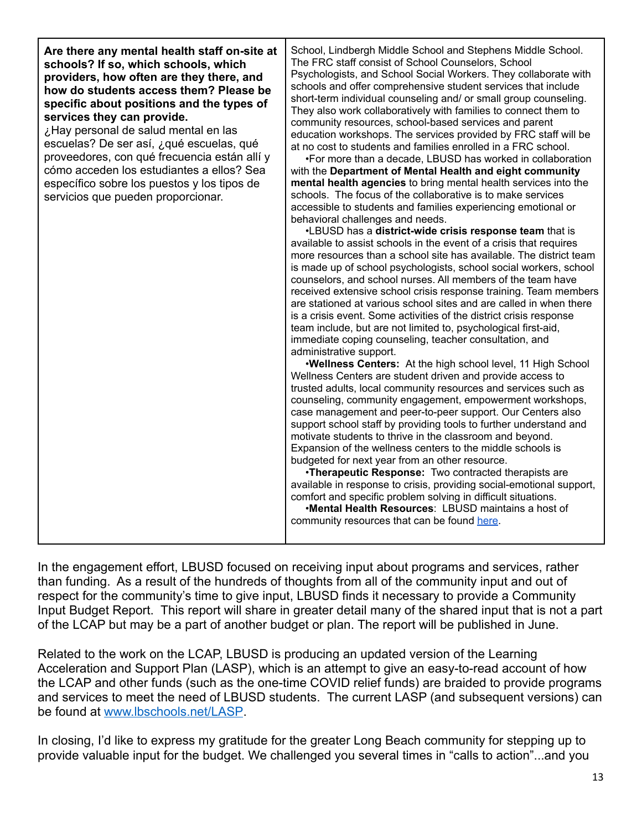| community resources that can be found here. |
|---------------------------------------------|
|---------------------------------------------|

In the engagement effort, LBUSD focused on receiving input about programs and services, rather than funding. As a result of the hundreds of thoughts from all of the community input and out of respect for the community's time to give input, LBUSD finds it necessary to provide a Community Input Budget Report. This report will share in greater detail many of the shared input that is not a part of the LCAP but may be a part of another budget or plan. The report will be published in June.

Related to the work on the LCAP, LBUSD is producing an updated version of the Learning Acceleration and Support Plan (LASP), which is an attempt to give an easy-to-read account of how the LCAP and other funds (such as the one-time COVID relief funds) are braided to provide programs and services to meet the need of LBUSD students. The current LASP (and subsequent versions) can be found at [www.lbschools.net/LASP](http://www.lbschools.net/LASP).

In closing, I'd like to express my gratitude for the greater Long Beach community for stepping up to provide valuable input for the budget. We challenged you several times in "calls to action"...and you